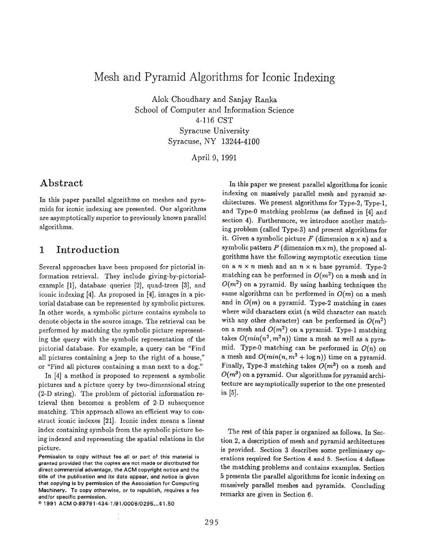# Mesh and Pyramid Algorithms for Iconic Indexing

Alok Choudhary and Sanjay Ranka School of Computer and Information Science 4-116 CST Syracuse University Syracuse, NY 13244-4100

April 9, 1991

### Abstract

In this paper parallel algorithms on meshes and pyramids for iconic indexing are presented. Our algorithms are asymptotically superior to previously known parallel algorithms.

## 1 Introduction

Several approaches have been proposed for pictorial information retrieval. They include giving-by-pictorialexample [1], database queries [2], quad-trees [3], and iconic indexing [4]. As proposed in [4], images in a pictorial database can be represented by symbolic pictures. In other words, a symbolic picture contains symbols to denote objects in the source image. The retrieval can be performed by matching the symbolic picture representing the query with the symbolic representation of the pictorial database. For example, a query can be "Find all pictures containing a jeep to the right of a house," or "Find all pictures containing a man next to a dog."

In [4] a method is proposed to represent a symbolic pictures and a picture query by two-dimensional string (2-D string). The problem of pictorial information retrieval then becomes a problem of 2-D subsequence matching. This approach allows an efficient way to construct iconic indexes [21]. Iconic index means a linear index containing symbols from the symbolic picture being indexed and representing the spatial relations in the picture.

In this paper we present parallel algorithms for iconic indexing on massively parallel mesh and pyramid architectures. We present algorithms for Type-2, Type-1, and Type-O matching problems (as defined in [4] and section 4). Furthermore, we introduce another matching problem (called Type-3) and present algorithms for it. Given a symbolic picture F (dimension  $n \times n$ ) and a symbolic pattern P (dimension  $m \times m$ ), the proposed algorithms have the following asymptotic execution time on a  $n \times n$  mesh and an  $n \times n$  base pyramid. Type-2 matching can be performed in  $O(m^2)$  on a mesh and in  $O(m^2)$  on a pyramid. By using hashing techniques the same algorithms can be performed in  $O(m)$  on a mesh and in  $O(m)$  on a pyramid. Type-2 matching in cases where wild characters exist (a wild character can match with any other character) can be performed in  $O(m^2)$ on a mesh and  $O(m^2)$  on a pyramid. Type-1 matching takes  $O(min(n^2, m^2n))$  time a mesh as well as a pyramid. Type-0 matching can be performed in  $O(n)$  on a mesh and  $O(min(n, m^2 + \log n))$  time on a pyramid. Finally, Type-3 matching takes  $O(m^3)$  on a mesh and  $O(m^3)$  on a pyramid. Our algorithms for pyramid architecture are asymptotically superior to the one presented in [5].

The rest of this paper is organized as follows. In Section 2, a description of mesh and pyramid architectures is provided. Section 3 describes some preliminary operations required for Section 4 and 5. Section 4 defines the matching problems and contains examples. Section 5 presents the parallel algorithms for iconic indexing on massively parallel meshes and pyramids. Concluding remarks are given in Section 6.

Permission to copy without fee all or part of this material is granted provided that the copies are not made or distributed for direct commercial advantage, the ACM copyright notice and the title of the publication and its date appear, and notica is given that copying is by permission of the Association for Computing Machinery. To copy otherwise, or to republish, requires a fee and/or specific permission.

<sup>@</sup> 1991 ACM 0-89791 -434- 1/91/0006 /0295 . ..\$1.50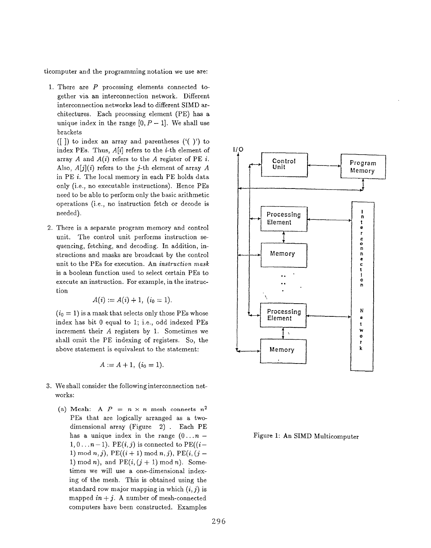ticomputer and the programming notation we use are:

- 1. There are  $P$  processing elements connected together via an interconnection network. Different interconnection networks lead to different SIMD architectures. Each processing element (PE) has a unique index in the range  $[0, P - 1]$ . We shall use brackets
	- ( $\vert$ ]) to index an array and parentheses ( $\vert$  $\vert$ ) to index PEs. Thus,  $A[i]$  refers to the *i*-th element of array A and  $A(i)$  refers to the A register of PE i. Also,  $A[j](i)$  refers to the j-th element of array A in PE i. The local memory in each PE holds data only (i.e., no executable instructions). Hence PEs need to be able to perform only the basic arithmetic operations (i.e., no instruction fetch or decode is needed).
- 2. There is a separate program memory and control unit. The control unit performs instruction sequencing, fetching, and decoding. In addition, instructions and masks are broadcast by the control unit to the PEs for execution. An instruction mask is a boolean function used to select certain PEs to execute an instruction. For example, in the instruction

$$
A(i) := A(i) + 1, \ (i_0 = 1)
$$

 $(i_0 = 1)$  is a mask that selects only those PEs whose index has bit O equal to 1; i.e., odd indexed PEs increment their A registers by 1. Sometimes we shall omit the PE indexing of registers. So, the above statement is equivalent to the statement:

$$
A := A + 1, \ (i_0 = 1).
$$

- 3. We shall consider the following interconnection networks:
	- (a) Mesh: A  $P = n \times n$  mesh connects  $n^2$ PEs that are logically arranged as a twodimensional array (Figure 2) . Each PE has a unique index in the range  $(0...n 1,0 \ldots n-1$ ). PE $(i, j)$  is connected to PE $((i-$ 1) mod  $n, j$ , PE $((i + 1) \text{ mod } n, j)$ , PE $(i, (j -$ 1) mod n), and  $PE(i, (j + 1) \mod n)$ . Sometimes we will use a one-dimensional indexing of the mesh. This is obtained using the standard row major mapping in which  $(i, j)$  is mapped  $in + j$ . A number of mesh-connected computers have been constructed. Examples



Figure 1: An SIMD Multicomputer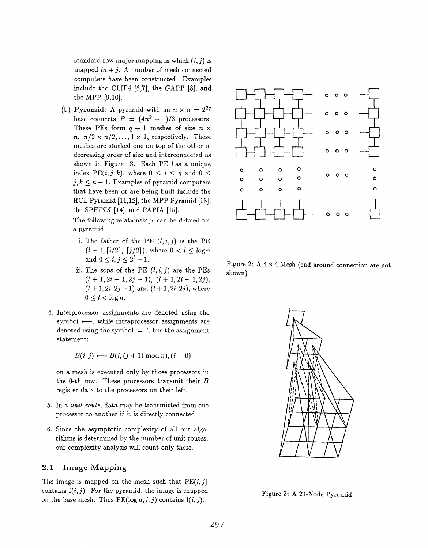standard row major mapping in which  $(i, j)$  is mapped  $in+j$ . A number of mesh-connected computers have been constructed. Examples include the CLIP4 [6,7], the GAPP [8], and the MPP [9,10].

(b) Pyramid: A pyramid with an  $n \times n = 2^{2q}$ base connects  $P = (4n^2 - 1)/3$  processors. These PEs form  $q + 1$  meshes of size  $n \times$  $n, n/2 \times n/2, \ldots, 1 \times 1$ , respectively. These meshes are stacked one on top of the other in decreasing order of size and interconnected as shown in Figure 3. Each PE has a unique index PE $(i, j, k)$ , where  $0 \leq i \leq q$  and  $0 \leq$  $j, k \leq n-1$ . Examples of pyramid computers that have been or are being built include the HCL Pyramid [11,12], the MPP Pyramid [13], the SPHINX [14], and PAPIA [15].

The following relationships can be defined for a pyramid.

- i. The father of the PE  $(l, i, j)$  is the PE  $(l-1, \lceil i/2 \rceil, \lceil j/2 \rceil)$ , where  $0 < l \leq \log n$ and  $0 < i, j < 2<sup>l</sup> - 1$ .
- ii. The sons of the PE  $(l, i, j)$  are the PEs shown)  $(l+1,2i-1,2j-1), (l+1,2i-1,2j),$  $(l + 1, 2i, 2j - 1)$  and  $(l + 1, 2i, 2j)$ , where  $0 \leq l < \log n$ .
- 4. Interprocessor assignments are denoted using th symbol  $\leftarrow$ , while intraprocessor assignments are denoted using the symbol  $:=$ . Thus the assignment statement:

$$
B(i,j) \longleftarrow B(i,(j+1) \bmod n), (i=0)
$$

on a mesh is executed only by those processors in the O-th row. These processors transmit their B register data to the processors on their left.

- ${\mathfrak{b}}.$  In a  $\emph{unit route},$  data may be transmitted from one processor to another if it is directly connected.
- 6. Since the asymptotic complexity of all our algorithms is determined by the number of unit route our complexity analysis will count only these.

#### 2.1 Image Mapping

The image is mapped on the mesh such that  $PE(i, j)$ contains  $I(i, j)$ . For the pyramid, the image is mapped on the base mesh. Thus  $PE(log n, i, j)$  contains  $I(i, j)$ .



Figure 2: A  $4 \times 4$  Mesh (end around connection are not



Figure 3: A 21-Node Pyramid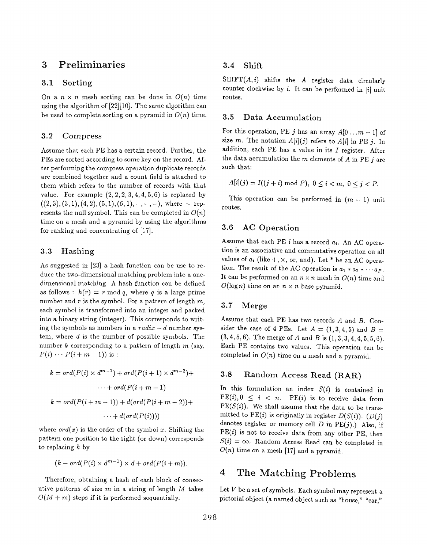### 3 Preliminaries

#### 3.1 Sorting

On a  $n \times n$  mesh sorting can be done in  $O(n)$  time using the algorithm of [22] [10]. The same algorithm can be used to complete sorting on a pyramid in  $O(n)$  time.

#### 3.2 Compress

Assume that each PE has a certain record. Further, the PEs are sorted according to some key on the record. After performing the compress operation duplicate records are combined together and a count field is attached to them which refers to the number of records with that value. For example  $(2, 2, 2, 3, 4, 4, 5, 6)$  is replaced by  $((2, 3), (3, 1), (4, 2), (5, 1), (6, 1), -, -, -),$  where – represents the null symbol. This can be completed in  $O(n)$ time on a mesh and a pyramid by using the algorithms for ranking and concentrating of [17].

#### 3.3 Hashing

As suggested in [23] a hash function can be use to reduce the two-dimensional matching problem into a onedimensional matching. A hash function can be defined as follows :  $h(r) = r \mod q$ , where q is a large prime number and r is the symbol. For a pattern of length  $m$ , each symbol is transformed into an integer and packed into a binary string (integer). This corresponds to writing the symbols as numbers in a  $radix - d$  number system, where  $d$  is the number of possible symbols. The number  $k$  corresponding to a pattern of length  $m$  (say,  $P(i) \cdots P(i+m-1)$  is:

$$
k = ord(P(i) \times d^{m-1}) + ord(P(i+1) \times d^{m-2}) + \cdots + ord(P(i+m-1)
$$
  

$$
k = ord(P(i+m-1)) + d(ord(P(i+m-2)) + \cdots + d(ord(P(i))))
$$

where  $ord(x)$  is the order of the symbol x. Shifting the pattern one position to the right (or down) corresponds to replacing  $k$  by

$$
(k - ord(P(i) \times d^{m-1}) \times d + ord(P(i+m)).
$$

Therefore, obtaining a hash of each block of consecutive patterns of size  $m$  in a string of length  $M$  takes  $O(M + m)$  steps if it is performed sequentially.

### 3.4 Shift

 $SHIFT(A, i)$  shifts the A register data circularly counter-clockwise by  $i$ . It can be performed in |i| unit routes.

#### 3.5 Data Accumulation

For this operation, PE j has an array  $A[0...m-1]$  of size m. The notation  $A[i](j)$  refers to  $A[i]$  in PE j. In addition, each PE has a value in its  $I$  register. After the data accumulation the  $m$  elements of  $A$  in PE  $j$  are such that:

$$
A[i](j) = I((j+i) \bmod P), \ 0 \le i < m, \ 0 \le j < P.
$$

This operation can be performed in  $(m - 1)$  unit routes.

### 3.6 AC Operation

Assume that each PE i has a record  $a_i$ . An AC operation is an associative and commutative operation on all values of  $a_i$  (like  $+, \times,$  or, and). Let \* be an AC operation. The result of the AC operation is  $a_1 * a_2 * \cdots a_P$ . It can be performed on an  $n \times n$  mesh in  $O(n)$  time and  $O(\log n)$  time on an  $n \times n$  base pyramid.

#### 3.7 Merge

Assume that each PE has two records A and B. Consider the case of 4 PEs. Let  $A = (1,3,4,5)$  and  $B =$  $(3,4,5,6)$ . The merge of A and B is  $(1,3,3,4,4,5,5,6)$ . Each PE contains two values. This operation can be completed in  $O(n)$  time on a mesh and a pyramid.

### 3.8 Random Access Read (RAR)

In this formulation an index  $S(i)$  is contained in  $PE(i), 0 \leq i \leq n$ .  $PE(i)$  is to receive data from  $PE(S(i))$ . We shall assume that the data to be transmitted to PE(i) is originally in register  $D(S(i))$ . (D(j) denotes register or memory cell  $D$  in  $PE(j)$ .) Also, if  $PE(i)$  is not to receive data from any other PE, then  $S(i) = \infty$ . Random Access Read can be completed in  $O(n)$  time on a mesh [17] and a pyramid.

### 4 The Matching Problems

Let V be a set of symbols. Each symbol may represent a pictorial object (a named object such as "house," "car,"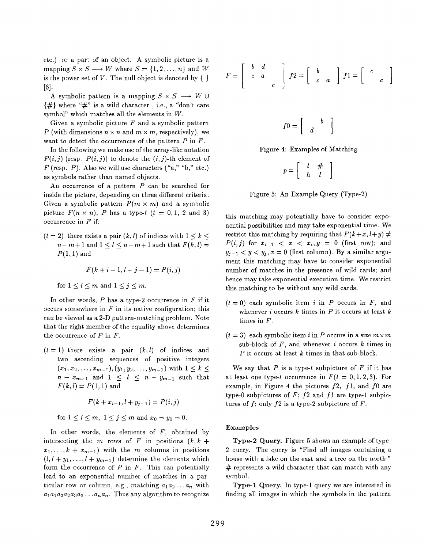etc.) or a part of an object. A symbolic picture is a mapping  $S \times S \longrightarrow W$  where  $S = \{1, 2, ..., n\}$  and W is the power set of V. The null object is denoted by  $\{\}\$ [6].

A symbolic pattern is a mapping  $S \times S \longrightarrow W \cup$  $\{\#$  where " $\#$ " is a wild character, i.e., a "don't care symbol" which matches all the elements in W.

Given a symbolic picture  $F$  and a symbolic pattern P (with dimensions  $n \times n$  and  $m \times m$ , respectively), we want to detect the occurrences of the pattern  $P$  in  $F$ .

In the following we make use of the array-like notation  $F(i, j)$  (resp.  $P(i, j)$ ) to denote the  $(i, j)$ -th element of  $F$  (resp.  $P$ ). Also we will use characters ("a," "b," etc.) as symbols rather than named objects.

An occurrence of a pattern P can be searched for inside the picture, depending on three different criteria. Given a symbolic pattern  $P(m \times m)$  and a symbolic picture  $F(n \times n)$ , P has a type-t  $(t = 0, 1, 2, 1)$  and 3) occurrence in  $F$  if:

 $(t= 2)$  there exists a pair  $(k, l)$  of indices with  $1 \leq k \leq$  $n-m+1$  and  $1 < l < n-m+1$  such that  $F(k, l)$  $P(1,1)$  and

$$
F(k+i-1, l+j-1) = P(i,j)
$$

for 
$$
1 \leq i \leq m
$$
 and  $1 \leq j \leq m$ .

In other words,  $P$  has a type-2 occurrence in  $F$  if it occurs somewhere in  $F$  in its native configuration; this can be viewed as a 2-D pattern-matching problem. Note that the right member of the equality above determines the occurrence of  $P$  in  $F$ .

 $(t=1)$  there exists a pair  $(k, l)$  of indices and two ascending sequences of positive integers  $(x_1, x_2, \ldots, x_{m-1}), (y_1, y_2, \ldots, y_{m-1})$  with  $1 \leq k \leq$  $n - x_{m-1}$  and  $1 \leq l \leq n - y_{m-1}$  such that  $F(k, l) = P(1, 1)$  and

$$
F(k + x_{i-1}, l + y_{j-1}) = P(i, j)
$$

for  $1\leq i\leq m,~1\leq j\leq m$  and  $x_0=y_0=0$ .

In other words, the elements of  $F$ , obtained by intersecting the m rows of F in positions  $(k, k +$  $x_1, \ldots, k + x_{m-1}$  with the m columns in positions  $(l, l + y_1, \ldots, l + y_{m-1})$  determine the elements which form the occurrence of  $P$  in  $F$ . This can potentially lead to an exponential number of matches in a particular row or column, e.g., matching  $a_1 a_2 \ldots a_n$  with  $a_1a_1a_2a_2a_3a_3\ldots a_na_n$ . Thus any algorithm to recognize

$$
F = \left[ \begin{array}{cc} b & d \\ c & a \\ & e \end{array} \right] f2 = \left[ \begin{array}{cc} b & \\ c & a \end{array} \right] f1 = \left[ \begin{array}{cc} c & \\ & e \end{array} \right]
$$

$$
f0=\left[\begin{array}{cc} & b \\ d & \end{array}\right]
$$

Figure 4: Examples of Matching

$$
p = \left[ \begin{array}{cc} t & \# \\ h & l \end{array} \right]
$$

Figure 5: An Example Query (Type-2)

this matching may potentially have to consider exponential possibilities and may take exponential time. We restrict this matching by requiring that  $F(k+x, l+y) \neq$  $P(i, j)$  for  $x_{i-1} < x < x_i, y = 0$  (first row); and  $y_{i-1} < y < y_i, x = 0$  (first column). By a similar argument this matching may have to consider exponential number of matches in the presence of wild cards; and hence may take exponential execution time. We restrict this matching to be without any wild cards.

- $(t= 0)$  each symbolic item i in P occurs in F, and whenever  $i$  occurs  $k$  times in  $P$  it occurs at least  $k$ times in F.
- $(t = 3)$  each symbolic item i in P occurs in a size  $m \times m$ sub-block of  $F$ , and whenever i occurs  $k$  times in P it occurs at least k times in that sub-block.

We say that  $P$  is a type-t subpicture of  $F$  if it has at least one type-t occurrence in  $F(t = 0, 1, 2, 3)$ . For example, in Figure 4 the pictures  $f2$ ,  $f1$ , and  $f0$  are type-0 subpictures of  $F$ ;  $f2$  and  $f1$  are type-1 subpictures of  $f$ ; only  $f2$  is a type-2 subpicture of  $F$ .

#### Examples

Type-2 Query. Figure 5 shows an example of type-2 query. The query is "Find all images containing a house with a lake on the east and a tree on the north."  $#$  represents a wild character that can match with any symbol,

Type-1 Query. In type-1 query we are interested in finding all images in which the symbols in the pattern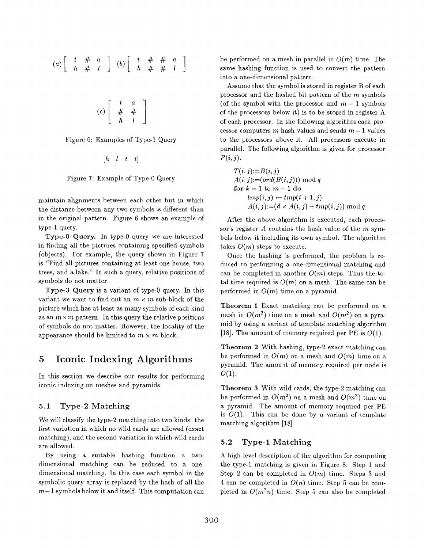$$
(a) \left[\begin{array}{cc} t & \# & a \\ h & \# & l \end{array}\right] (b) \left[\begin{array}{cc} t & \# & \# & a \\ h & \# & \# & l \end{array}\right]
$$

$$
(c)\left[\begin{array}{cc}t&a\\ \#&\#\\ h&l\end{array}\right]
$$

Figure 6: Examples of Type-1 Query

$$
[h \quad l \quad t \quad t]
$$

Figure 7: Example of Type-O Query

maintain alignments between each other but in which the distance between any two symbols is different than in the original pattern. Figure 6 shows an example of type-1 query.

Type-O Query. In type-O query we are interested in finding all the pictures containing specified symbols (objects). For example, the query shown in Figure 7 is "Find all pictures containing at least one house, two trees, and a lake." In such a query, relative positions of symbols do not matter.

Type-3 Query is a variant of type-O query. In this variant we want to find out an  $m \times m$  sub-block of the picture which has at least as many symbols of each kind as an  $m \times m$  pattern. In this query the relative positions of symbols do not matter. However, the locality of the appearance should be limited to  $m \times m$  block.

### 5 Iconic Indexing Algorithms

In this section we describe our results for performing iconic indexing on meshes and pyramids.

#### 5.1 Type-2 Matching

We will classify the type-2 matching into two kinds: the first variation in which no wild cards are allowed (exact matching), and the second variation in which wild cards are allowed.

By using a suitable hashing function a twodimensional matching can be reduced to a onedimensional matching, In this case each symbol in the symbolic query array is replaced by the hash of all the  $m-1$  symbols below it and itself. This computation can be performed on a mesh in parallel in  $O(m)$  time. The same hashing function is used to convert the pattern into a one-dimensional pattern.

Assume that the symbol is stored in register B of each processor and the hashed bit pattern of the m symbols (of the symbol with the processor and  $m-1$  symbols of the processors below it) is to be stored in register A of each processor. In the following algorithm each processor computers m hash values and sends  $m-1$  values to the processors above it. All processors execute in parallel. The following algorithm is given for processor  $P(i, j)$ .

$$
T(i,j):=B(i,j)
$$
  
\n
$$
A(i,j):=(ord(B(i,j))) \mod q
$$
  
\n**for**  $k = 1$  to  $m-1$  **do**  
\n
$$
tmp(i,j) \leftarrow tmp(i+1,j)
$$
  
\n
$$
A(i,j):=(d \times A(i,j)+tmp(i,j)) \mod q
$$

After the above algorithm is executed, each processor's register A contains the hash value of the  $m$  symbols below it including its own symbol. The algorithm takes  $O(m)$  steps to execute.

Once the hashing is performed, the problem is reduced to performing a one-dimensional matching and can be completed in another  $O(m)$  steps. Thus the total time required is  $O(m)$  on a mesh. The same can be performed in  $O(m)$  time on a pyramid.

Theorem 1 Exact matching can be performed on a mesh in  $O(m^2)$  time on a mesh and  $O(m^2)$  on a pyramid by using a variant of template matching algorithm [18]. The amount of memory required per PE is  $O(1)$ .

Theorem 2 With hashing, type-2 exact matching can be performed in  $O(m)$  on a mesh and  $O(m)$  time on a pyramid. The amount of memory required per node is  $O(1)$ .

Theorem 3 With wild cards, the type-2 matching can be performed in  $O(m^2)$  on a mesh and  $O(m^2)$  time on a pyramid. The amount of memory required per PE is  $O(1)$ . This can be done by a variant of template matching algorithm [18]

#### 5.2 Type-1 Matching

A high-level description of the algorithm for computing the type-1 matching is given in Figure 8. Step 1 and Step 2 can be completed in  $O(m)$  time. Steps 3 and 4 can be completed in  $O(n)$  time. Step 5 can be completed in  $O(m^2n)$  time. Step 5 can also be complet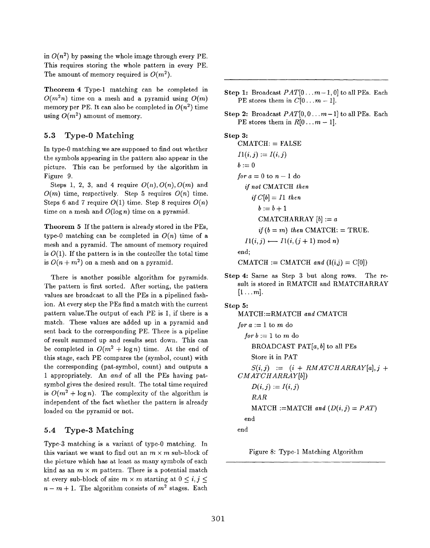in  $O(n^2)$  by passing the whole image through every PE. This requires storing the whole pattern in every PE. The amount of memory required is  $O(m^2)$ .

Theorem 4 Type-1 matching can be completed in  $O(m^2n)$  time on a mesh and a pyramid using  $O(m)$ memory per PE. It can also be completed in  $O(n^2)$  time using  $O(m^2)$  amount of memory.

#### 5.3 Type-O Matching

In type-0 matching we are supposed to find out whether the symbols appearing in the pattern also appear in the picture. This can be performed by the algorithm in Figure 9.

Steps 1, 2, 3, and 4 require  $O(n)$ ,  $O(n)$ ,  $O(m)$  and  $O(m)$  time, respectively. Step 5 requires  $O(n)$  time. Steps 6 and 7 require  $O(1)$  time. Step 8 requires  $O(n)$ time on a mesh and  $O(\log n)$  time on a pyramid.

Theorem 5 If the pattern is already stored in the PEs, type-0 matching can be completed in  $O(n)$  time of a mesh and a pyramid. The amount of memory required is  $O(1)$ . If the pattern is in the controller the total time is  $O(n + m^2)$  on a mesh and on a pyramid.

There is another possible algorithm for pyramids. The pattern is first sorted. After sorting, the pattern values are broadcast to all the PEs in a pipelined fashion. At every step the PEs find a match with the current pattern value. The output of each PE is 1, if there is a match. These values are added up in a pyramid and sent back to the corresponding PE. There is a pipeline of result summed up and results sent down. This can be completed in  $O(m^2 + \log n)$  time. At the end of this stage, each PE compares the (symbol, count) with the corresponding (pat-symbol, count) and outputs a 1 appropriately. An and of all the PEs having patsymbol gives the desired result. The total time required is  $O(m^2 + \log n)$ . The complexity of the algorithm is independent of the fact whether the pattern is already loaded on the pyramid or not.

### 5.4 Type-3 Matching

Type-3 matching is a variant of type-O matching. In this variant we want to find out an  $m \times m$  sub-block of the picture which has at least as many symbols of each kind as an  $m \times m$  pattern. There is a potential match at every sub-block of size  $m \times m$  starting at  $0 \leq i, j \leq n$  $n - m + 1$ . The algorithm consists of  $m<sup>2</sup>$  stages. Each

- Step 1: Broadcast  $PAT[0...m-1, 0]$  to all PEs. Each PE stores them in  $C[0...m-1]$ .
- Step 2: Broadcast  $PAT[0, 0...m-1]$  to all PEs. Each PE stores them in  $R[0...m-1]$ .

### Step 3:

 $CMATCH: = FALSE$  $I1(i, j) := I(i, j)$  $b:=0$ for  $a=0$  to  $n-1$  do if not CMATCH then if  $C[b] = I1$  then  $b:=b+1$ CMATCHARRAY  $[b] := a$ if  $(b = m)$  then CMATCH:  $=$  TRUE.  $I1(i, j) \longleftarrow I1(i, (j + 1) \mod n)$ end;

- CMATCH := CMATCH and  $(I(i,j) = C[0])$
- Step 4: Same as Step 3 but along rows. The result is stored in RMATCH and RMATCHARRAY  $[1 \ldots m]$ .

#### Step 5: MATCH-RMATCH and CMATCH

for 
$$
a := 1
$$
 to  $m$  do  
\nfor  $b := 1$  to  $m$  do  
\nBROADCAST PAT[ $a, b$ ] to all PEs  
\nStore it in PAT  
\n $S(i, j) := (i + RMATCHARRAY[a], j +$   
\nCMATCHARRAY[b])  
\n $D(i, j) := I(i, j)$   
\nRAR  
\nMATCH :=MATCH and  $(D(i, j) = PAT)$   
\nend  
\nend

Figure 8: Type-1 Matching Algorithm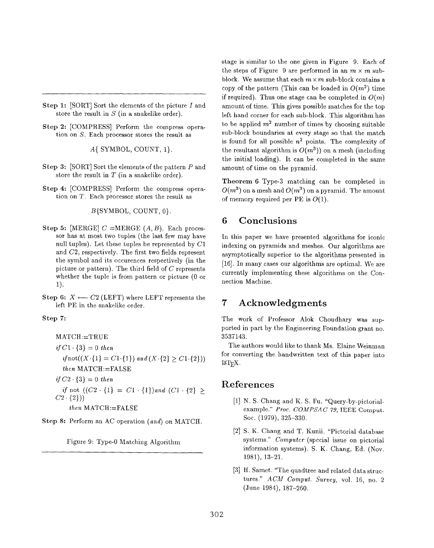- Step 1:  $[SORT]$  Sort the elements of the picture  $I$  and store the result in  $S$  (in a snakelike order).
- Step 2: [COMPRESS] Perform the compress operation on S. Each processor stores the result as

A{ SYMBOL, COUNT, 1}.

- $\mathsf{Step 3:}$  [SORT] Sort the elements of the pattern P and store the result in  $T$  (in a snakelike order).
- Step 4: [COMPRESS] Perform the compress operation on T. Each processor stores the result as

 $B$ {SYMBOL, COUNT,  $0$ }.

- Step 5: [MERGE]  $C = \text{MERGE}(A, B)$ . Each processor has at most two tuples (the last few may have null tuples). Let these tuples be represented by  $C1$ and C2, respectively. The first two fields represent the symbol and its occurrences respectively (in the picture or pattern). The third field of  $C$  represents whether the tuple is from pattern or picture (0 or 1).
- Step 6:  $X \leftarrow C2$  (LEFT) where LEFT represents the left PE in the snakelike order.

#### Step 7:

$$
MATCH:=TRUE
$$
  
\nif C1. {3} = 0 then  
\nif not((X. {1} = C1. {1}) and (X. {2} \ge C1. {2})))  
\nthen MATCH:=FALSE  
\nif C2. {3} = 0 then  
\nif not ((C2. {1} = C1. {1})) and (C1. {2} \ge C2. {2})))  
\nthen MATCH:=FALSE

Step 8: Perform an AC operation (and) on MATCH.

Figure 9: Type-O Matching Algorithm

stage is similar to the one given in Figure 9. Each of the steps of Figure 9 are performed in an  $m \times m$  subblock. We assume that each  $m \times m$  sub-block contains a copy of the pattern (This can be loaded in  $O(m^2)$  time if required). Thus one stage can be completed in  $O(m)$ amount of time. This gives possible matches for the top left hand corner for each sub-block. This algorithm has to be applied  $m^2$  number of times by choosing suitable sub-block boundaries at every stage so that the match is found for all possible  $n^2$  points. The complexity of the resultant algorithm is  $O(m^3)$  on a mesh (including the initial loading). It can be completed in the same amount of time on the pyramid.

Theorem 6 Type-3 matching can be completed in  $O(m^3)$  on a mesh and  $O(m^3)$  on a pyramid. The amount of memory required per PE is  $O(1)$ .

### 6 Conclusions

In this paper we have presented algorithms for iconic indexing on pyramids and meshes. Our algorithms are asymptotically superior to the algorithms presented in [16]. In many cases our algorithms are optimal. We are currently implementing these algorithms on the Connection Machine.

### 7 Acknowledgments

The work of Professor Alok Choudhary was supported in part by the Engineering Foundation grant no. 3537143.

The authors would like to thank Ms. Elaine Weinman for converting the handwritten text of this paper into IAT<sub>EX</sub>.

### References

- [1] N. S. Unang and K. S. Fu. "Query-by-pic example." Proc. COMPSAC 79, IEEE Comput. SOC. (1979), 325-330.
- [2] S. K. Chang and T. Kunii. "Pictorial database systems." Computer (special issue on pictorial information systems). S. K. Chang, Ed. (Nov. 1981), 13-21.
- [3] H. Samet. 'The quadtree and related data structures." ACM Comput. Survey, vol. 16, no. 2 (June 1984), 187-260.